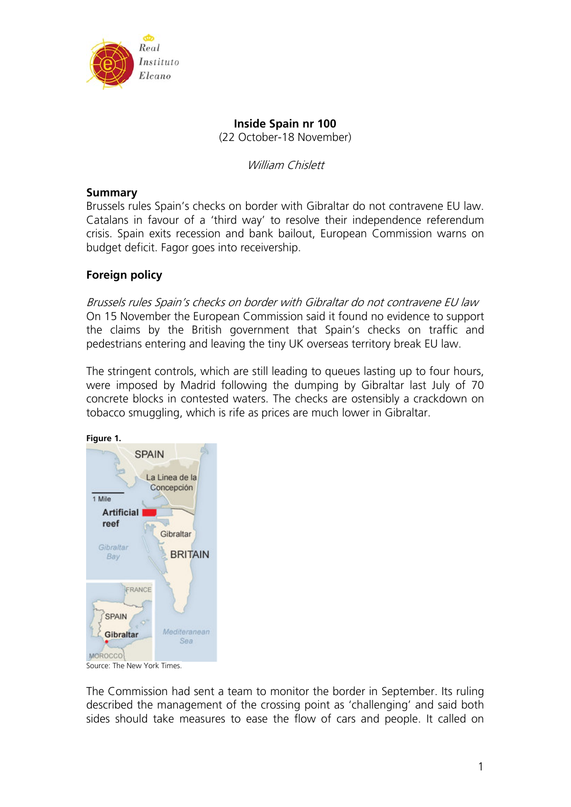

## **Inside Spain nr 100**  (22 October-18 November)

William Chislett

## **Summary**

Brussels rules Spain's checks on border with Gibraltar do not contravene EU law. Catalans in favour of a 'third way' to resolve their independence referendum crisis. Spain exits recession and bank bailout, European Commission warns on budget deficit. Fagor goes into receivership.

## **Foreign policy**

Brussels rules Spain's checks on border with Gibraltar do not contravene EU law On 15 November the European Commission said it found no evidence to support the claims by the British government that Spain's checks on traffic and pedestrians entering and leaving the tiny UK overseas territory break EU law.

The stringent controls, which are still leading to queues lasting up to four hours, were imposed by Madrid following the dumping by Gibraltar last July of 70 concrete blocks in contested waters. The checks are ostensibly a crackdown on tobacco smuggling, which is rife as prices are much lower in Gibraltar.



Source: The New York Times.

The Commission had sent a team to monitor the border in September. Its ruling described the management of the crossing point as 'challenging' and said both sides should take measures to ease the flow of cars and people. It called on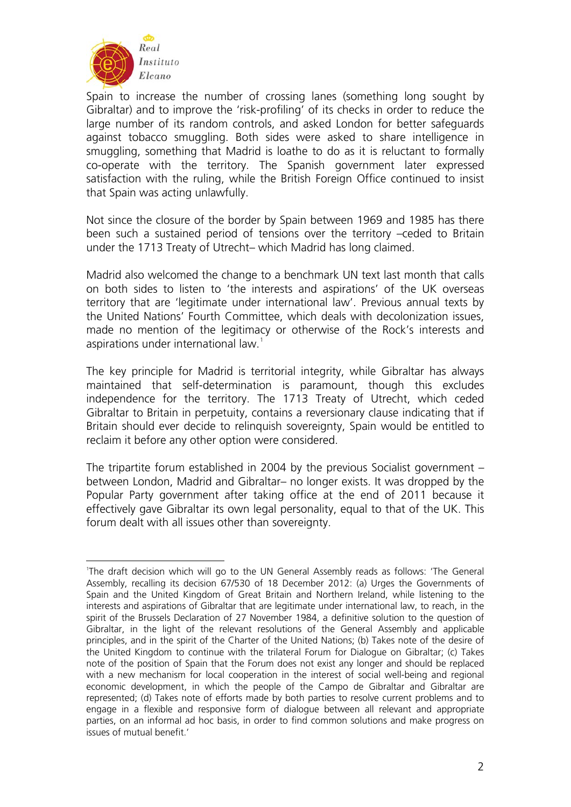

Spain to increase the number of crossing lanes (something long sought by Gibraltar) and to improve the 'risk-profiling' of its checks in order to reduce the large number of its random controls, and asked London for better safeguards against tobacco smuggling. Both sides were asked to share intelligence in smuggling, something that Madrid is loathe to do as it is reluctant to formally co-operate with the territory. The Spanish government later expressed satisfaction with the ruling, while the British Foreign Office continued to insist that Spain was acting unlawfully.

Not since the closure of the border by Spain between 1969 and 1985 has there been such a sustained period of tensions over the territory –ceded to Britain under the 1713 Treaty of Utrecht– which Madrid has long claimed.

Madrid also welcomed the change to a benchmark UN text last month that calls on both sides to listen to 'the interests and aspirations' of the UK overseas territory that are 'legitimate under international law'. Previous annual texts by the United Nations' Fourth Committee, which deals with decolonization issues, made no mention of the legitimacy or otherwise of the Rock's interests and aspirations under international law.<sup>[1](#page-1-0)</sup>

The key principle for Madrid is territorial integrity, while Gibraltar has always maintained that self-determination is paramount, though this excludes independence for the territory. The 1713 Treaty of Utrecht, which ceded Gibraltar to Britain in perpetuity, contains a reversionary clause indicating that if Britain should ever decide to relinquish sovereignty, Spain would be entitled to reclaim it before any other option were considered.

The tripartite forum established in 2004 by the previous Socialist government – between London, Madrid and Gibraltar– no longer exists. It was dropped by the Popular Party government after taking office at the end of 2011 because it effectively gave Gibraltar its own legal personality, equal to that of the UK. This forum dealt with all issues other than sovereignty.

<span id="page-1-0"></span><sup>&</sup>lt;u>.</u> 1 The draft decision which will go to the UN General Assembly reads as follows: 'The General Assembly, recalling its decision 67/530 of 18 December 2012: (a) Urges the Governments of Spain and the United Kingdom of Great Britain and Northern Ireland, while listening to the interests and aspirations of Gibraltar that are legitimate under international law, to reach, in the spirit of the Brussels Declaration of 27 November 1984, a definitive solution to the question of Gibraltar, in the light of the relevant resolutions of the General Assembly and applicable principles, and in the spirit of the Charter of the United Nations; (b) Takes note of the desire of the United Kingdom to continue with the trilateral Forum for Dialogue on Gibraltar; (c) Takes note of the position of Spain that the Forum does not exist any longer and should be replaced with a new mechanism for local cooperation in the interest of social well-being and regional economic development, in which the people of the Campo de Gibraltar and Gibraltar are represented; (d) Takes note of efforts made by both parties to resolve current problems and to engage in a flexible and responsive form of dialogue between all relevant and appropriate parties, on an informal ad hoc basis, in order to find common solutions and make progress on issues of mutual benefit.'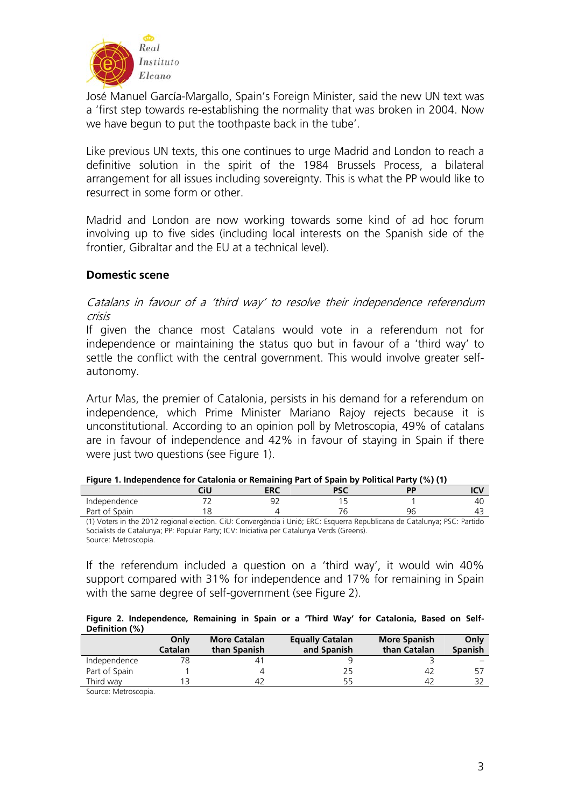

José Manuel García-Margallo, Spain's Foreign Minister, said the new UN text was a 'first step towards re-establishing the normality that was broken in 2004. Now we have begun to put the toothpaste back in the tube'.

Like previous UN texts, this one continues to urge Madrid and London to reach a definitive solution in the spirit of the 1984 Brussels Process, a bilateral arrangement for all issues including sovereignty. This is what the PP would like to resurrect in some form or other.

Madrid and London are now working towards some kind of ad hoc forum involving up to five sides (including local interests on the Spanish side of the frontier, Gibraltar and the EU at a technical level).

## **Domestic scene**

Catalans in favour of a 'third way' to resolve their independence referendum crisis

If given the chance most Catalans would vote in a referendum not for independence or maintaining the status quo but in favour of a 'third way' to settle the conflict with the central government. This would involve greater selfautonomy.

Artur Mas, the premier of Catalonia, persists in his demand for a referendum on independence, which Prime Minister Mariano Rajoy rejects because it is unconstitutional. According to an opinion poll by Metroscopia, 49% of catalans are in favour of independence and 42% in favour of staying in Spain if there were just two questions (see Figure 1).

|               | <b>Tigare 1. macpenaence for catalonia or nemaning rare or spant by romacarrarey</b> (707 (17 |     |                             |    |              |
|---------------|-----------------------------------------------------------------------------------------------|-----|-----------------------------|----|--------------|
|               |                                                                                               | ERC |                             |    |              |
| Independence  |                                                                                               |     |                             |    | 4U           |
| Part of Spain |                                                                                               |     |                             | 96 |              |
| $\cdots$<br>. | $-1$                                                                                          | .   | $\cdots$<br>$  -$<br>$\sim$ |    | <b>Bee B</b> |

| Figure 1. Independence for Catalonia or Remaining Part of Spain by Political Party (%) (1) |  |
|--------------------------------------------------------------------------------------------|--|
|--------------------------------------------------------------------------------------------|--|

(1) Voters in the 2012 regional election. CiU: Convergència i Unió; ERC: Esquerra Republicana de Catalunya; PSC: Partido Socialists de Catalunya; PP: Popular Party; ICV: Iniciativa per Catalunya Verds (Greens). Source: Metroscopia.

If the referendum included a question on a 'third way', it would win 40% support compared with 31% for independence and 17% for remaining in Spain with the same degree of self-government (see Figure 2).

|                | Figure 2. Independence, Remaining in Spain or a 'Third Way' for Catalonia, Based on Self- |  |  |  |  |  |  |
|----------------|-------------------------------------------------------------------------------------------|--|--|--|--|--|--|
| Definition (%) |                                                                                           |  |  |  |  |  |  |

|               | Only<br>Catalan | <b>More Catalan</b><br>than Spanish | <b>Equally Catalan</b><br>and Spanish | <b>More Spanish</b><br>than Catalan | Only<br><b>Spanish</b> |
|---------------|-----------------|-------------------------------------|---------------------------------------|-------------------------------------|------------------------|
| Independence  |                 | 41                                  |                                       |                                     |                        |
| Part of Spain |                 |                                     | 25                                    | 42                                  | -57                    |
| Third way     |                 | 42                                  | 55                                    | 42                                  | 32                     |

Source: Metroscopia.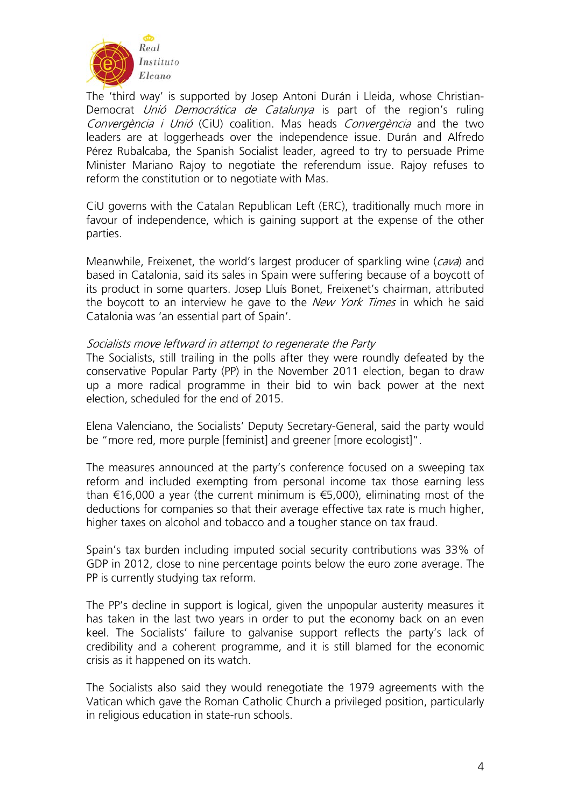

The 'third way' is supported by Josep Antoni Durán i Lleida, whose Christian-Democrat Unió Democrática de Catalunya is part of the region's ruling Convergència i Unió (CiU) coalition. Mas heads Convergència and the two leaders are at loggerheads over the independence issue. Durán and Alfredo Pérez Rubalcaba, the Spanish Socialist leader, agreed to try to persuade Prime Minister Mariano Rajoy to negotiate the referendum issue. Rajoy refuses to reform the constitution or to negotiate with Mas.

CiU governs with the Catalan Republican Left (ERC), traditionally much more in favour of independence, which is gaining support at the expense of the other parties.

Meanwhile, Freixenet, the world's largest producer of sparkling wine (cava) and based in Catalonia, said its sales in Spain were suffering because of a boycott of its product in some quarters. Josep Lluís Bonet, Freixenet's chairman, attributed the boycott to an interview he gave to the *New York Times* in which he said Catalonia was 'an essential part of Spain'.

### Socialists move leftward in attempt to regenerate the Party

The Socialists, still trailing in the polls after they were roundly defeated by the conservative Popular Party (PP) in the November 2011 election, began to draw up a more radical programme in their bid to win back power at the next election, scheduled for the end of 2015.

Elena Valenciano, the Socialists' Deputy Secretary-General, said the party would be "more red, more purple [feminist] and greener [more ecologist]".

The measures announced at the party's conference focused on a sweeping tax reform and included exempting from personal income tax those earning less than €16,000 a year (the current minimum is €5,000), eliminating most of the deductions for companies so that their average effective tax rate is much higher, higher taxes on alcohol and tobacco and a tougher stance on tax fraud.

Spain's tax burden including imputed social security contributions was 33% of GDP in 2012, close to nine percentage points below the euro zone average. The PP is currently studying tax reform.

The PP's decline in support is logical, given the unpopular austerity measures it has taken in the last two years in order to put the economy back on an even keel. The Socialists' failure to galvanise support reflects the party's lack of credibility and a coherent programme, and it is still blamed for the economic crisis as it happened on its watch.

The Socialists also said they would renegotiate the 1979 agreements with the Vatican which gave the Roman Catholic Church a privileged position, particularly in religious education in state-run schools.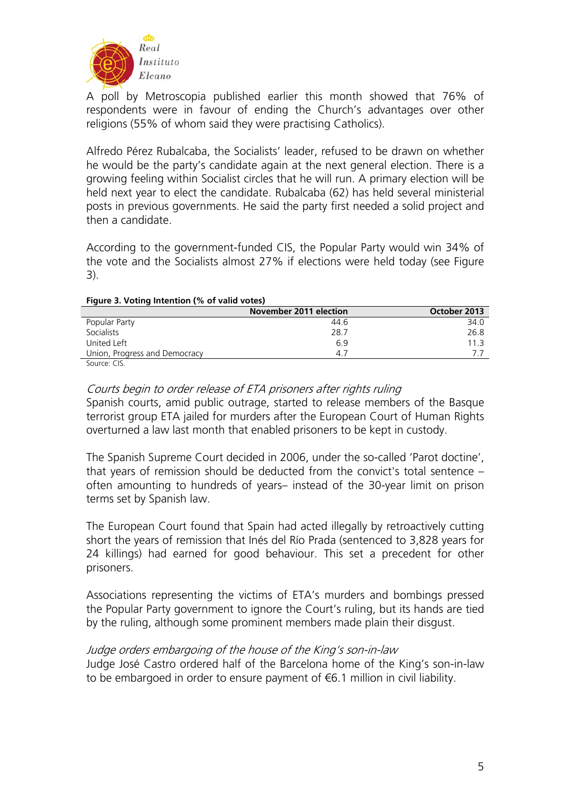

A poll by Metroscopia published earlier this month showed that 76% of respondents were in favour of ending the Church's advantages over other religions (55% of whom said they were practising Catholics).

Alfredo Pérez Rubalcaba, the Socialists' leader, refused to be drawn on whether he would be the party's candidate again at the next general election. There is a growing feeling within Socialist circles that he will run. A primary election will be held next year to elect the candidate. Rubalcaba (62) has held several ministerial posts in previous governments. He said the party first needed a solid project and then a candidate.

According to the government-funded CIS, the Popular Party would win 34% of the vote and the Socialists almost 27% if elections were held today (see Figure 3).

| Figure 3. Voting intention (% of valid votes) |                        |              |  |
|-----------------------------------------------|------------------------|--------------|--|
|                                               | November 2011 election | October 2013 |  |
| Popular Party                                 | 44.6                   | 34.0         |  |
| <b>Socialists</b>                             | 28.7                   | 26.8         |  |
| United Left                                   | 69                     | 11 3         |  |
| Union, Progress and Democracy                 | 4.7                    |              |  |

### **Figure 3. Voting Intention (% of valid votes)**

Source: CIS.

# Courts begin to order release of ETA prisoners after rights ruling

Spanish courts, amid public outrage, started to release members of the Basque terrorist group ETA jailed for murders after the European Court of Human Rights overturned a law last month that enabled prisoners to be kept in custody.

The Spanish Supreme Court decided in 2006, under the so-called 'Parot doctine', that years of remission should be deducted from the convict's total sentence – often amounting to hundreds of years– instead of the 30-year limit on prison terms set by Spanish law.

The European Court found that Spain had acted illegally by retroactively cutting short the years of remission that Inés del Río Prada (sentenced to 3,828 years for 24 killings) had earned for good behaviour. This set a precedent for other prisoners.

Associations representing the victims of ETA's murders and bombings pressed the Popular Party government to ignore the Court's ruling, but its hands are tied by the ruling, although some prominent members made plain their disgust.

## Judge orders embargoing of the house of the King's son-in-law

Judge José Castro ordered half of the Barcelona home of the King's son-in-law to be embargoed in order to ensure payment of €6.1 million in civil liability.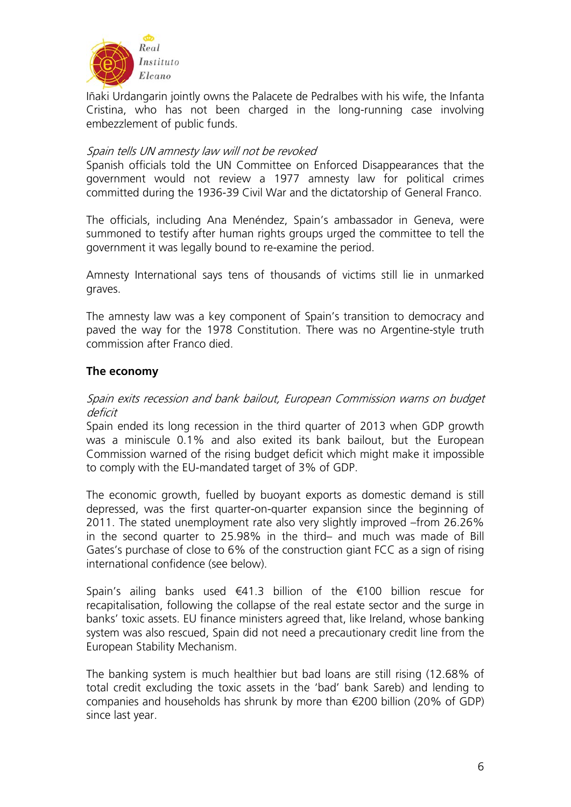

Iñaki Urdangarin jointly owns the Palacete de Pedralbes with his wife, the Infanta Cristina, who has not been charged in the long-running case involving embezzlement of public funds.

## Spain tells UN amnesty law will not be revoked

Spanish officials told the UN Committee on Enforced Disappearances that the government would not review a 1977 amnesty law for political crimes committed during the 1936-39 Civil War and the dictatorship of General Franco.

The officials, including Ana Menéndez, Spain's ambassador in Geneva, were summoned to testify after human rights groups urged the committee to tell the government it was legally bound to re-examine the period.

Amnesty International says tens of thousands of victims still lie in unmarked graves.

The amnesty law was a key component of Spain's transition to democracy and paved the way for the 1978 Constitution. There was no Argentine-style truth commission after Franco died.

## **The economy**

## Spain exits recession and bank bailout, European Commission warns on budget deficit

Spain ended its long recession in the third quarter of 2013 when GDP growth was a miniscule 0.1% and also exited its bank bailout, but the European Commission warned of the rising budget deficit which might make it impossible to comply with the EU-mandated target of 3% of GDP.

The economic growth, fuelled by buoyant exports as domestic demand is still depressed, was the first quarter-on-quarter expansion since the beginning of 2011. The stated unemployment rate also very slightly improved –from 26.26% in the second quarter to 25.98% in the third– and much was made of Bill Gates's purchase of close to 6% of the construction giant FCC as a sign of rising international confidence (see below).

Spain's ailing banks used €41.3 billion of the €100 billion rescue for recapitalisation, following the collapse of the real estate sector and the surge in banks' toxic assets. EU finance ministers agreed that, like Ireland, whose banking system was also rescued, Spain did not need a precautionary credit line from the European Stability Mechanism.

The banking system is much healthier but bad loans are still rising (12.68% of total credit excluding the toxic assets in the 'bad' bank Sareb) and lending to companies and households has shrunk by more than €200 billion (20% of GDP) since last year.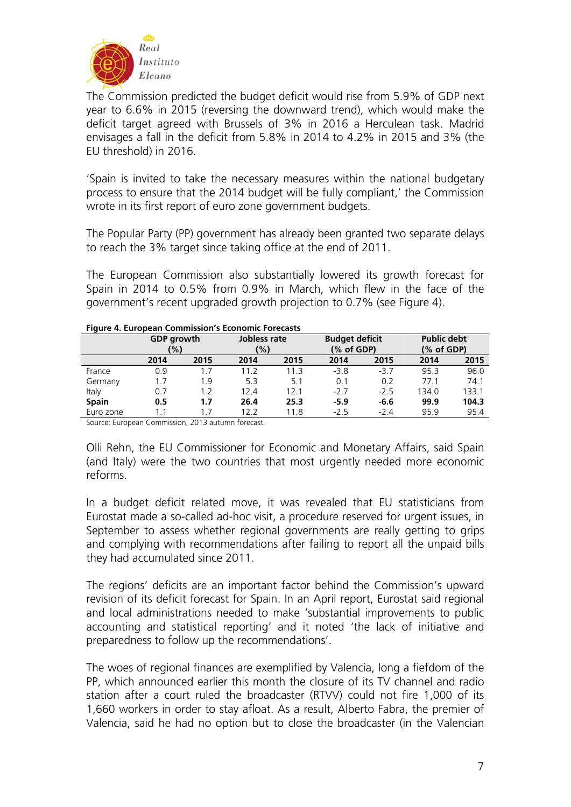

The Commission predicted the budget deficit would rise from 5.9% of GDP next year to 6.6% in 2015 (reversing the downward trend), which would make the deficit target agreed with Brussels of 3% in 2016 a Herculean task. Madrid envisages a fall in the deficit from 5.8% in 2014 to 4.2% in 2015 and 3% (the EU threshold) in 2016.

'Spain is invited to take the necessary measures within the national budgetary process to ensure that the 2014 budget will be fully compliant,' the Commission wrote in its first report of euro zone government budgets.

The Popular Party (PP) government has already been granted two separate delays to reach the 3% target since taking office at the end of 2011.

The European Commission also substantially lowered its growth forecast for Spain in 2014 to 0.5% from 0.9% in March, which flew in the face of the government's recent upgraded growth projection to 0.7% (see Figure 4).

|              | <b>GDP</b> growth<br>(%) |      | Jobless rate<br>(%) |                 | <b>Budget deficit</b><br>$(% \mathcal{L}_{0})$ of GDP) |        | <b>Public debt</b><br>(% of GDP) |       |
|--------------|--------------------------|------|---------------------|-----------------|--------------------------------------------------------|--------|----------------------------------|-------|
|              | 2014                     | 2015 | 2014                | 2015            | 2014                                                   | 2015   | 2014                             | 2015  |
| France       | 0.9                      | 1.7  | 11.2                | 113             | $-3.8$                                                 | $-3.7$ | 95.3                             | 96.0  |
| Germany      | 1.7                      | 1.9  | 53                  | 5.1             | 0.1                                                    | 0.2    | 77.1                             | 74.1  |
| Italy        | 0.7                      | 1.2  | 124                 | 12 <sub>1</sub> | $-27$                                                  | $-25$  | 134.0                            | 133.1 |
| <b>Spain</b> | 0.5                      | 1.7  | 26.4                | 25.3            | $-5.9$                                                 | $-6.6$ | 99.9                             | 104.3 |
| Euro zone    | 1.1                      | 17   | 12 2                | 11.8            | $-25$                                                  | $-2.4$ | 95.9                             | 95.4  |

#### **Figure 4. European Commission's Economic Forecasts**

Source: European Commission, 2013 autumn forecast.

Olli Rehn, the EU Commissioner for Economic and Monetary Affairs, said Spain (and Italy) were the two countries that most urgently needed more economic reforms.

In a budget deficit related move, it was revealed that EU statisticians from Eurostat made a so-called ad-hoc visit, a procedure reserved for urgent issues, in September to assess whether regional governments are really getting to grips and complying with recommendations after failing to report all the unpaid bills they had accumulated since 2011.

The regions' deficits are an important factor behind the Commission's upward revision of its deficit forecast for Spain. In an April report, Eurostat said regional and local administrations needed to make 'substantial improvements to public accounting and statistical reporting' and it noted 'the lack of initiative and preparedness to follow up the recommendations'.

The woes of regional finances are exemplified by Valencia, long a fiefdom of the PP, which announced earlier this month the closure of its TV channel and radio station after a court ruled the broadcaster (RTVV) could not fire 1,000 of its 1,660 workers in order to stay afloat. As a result, Alberto Fabra, the premier of Valencia, said he had no option but to close the broadcaster (in the Valencian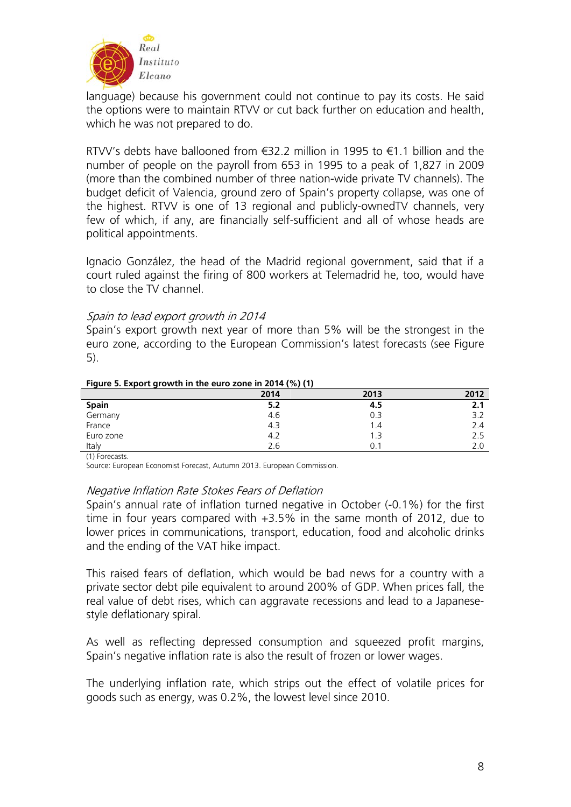

language) because his government could not continue to pay its costs. He said the options were to maintain RTVV or cut back further on education and health, which he was not prepared to do.

RTVV's debts have ballooned from €32.2 million in 1995 to €1.1 billion and the number of people on the payroll from 653 in 1995 to a peak of 1,827 in 2009 (more than the combined number of three nation-wide private TV channels). The budget deficit of Valencia, ground zero of Spain's property collapse, was one of the highest. RTVV is one of 13 regional and publicly-ownedTV channels, very few of which, if any, are financially self-sufficient and all of whose heads are political appointments.

Ignacio González, the head of the Madrid regional government, said that if a court ruled against the firing of 800 workers at Telemadrid he, too, would have to close the TV channel.

### Spain to lead export growth in 2014

Spain's export growth next year of more than 5% will be the strongest in the euro zone, according to the European Commission's latest forecasts (see Figure 5).

| -         | ---  |      |      |
|-----------|------|------|------|
|           | 2014 | 2013 | 2012 |
| Spain     | 5.2  | 4.5  | 2.1  |
| Germany   | 4.6  | 0.3  | 3.2  |
| France    | 4.3  | 1.4  | 2.4  |
| Euro zone | 4.2  | 1.3  | 2.5  |
| Italy     | 2.6  |      | 2.0  |

#### **Figure 5. Export growth in the euro zone in 2014 (%) (1)**

(1) Forecasts.

Source: European Economist Forecast, Autumn 2013. European Commission.

### Negative Inflation Rate Stokes Fears of Deflation

Spain's annual rate of inflation turned negative in October (-0.1%) for the first time in four years compared with +3.5% in the same month of 2012, due to lower prices in communications, transport, education, food and alcoholic drinks and the ending of the VAT hike impact.

This raised fears of deflation, which would be bad news for a country with a private sector debt pile equivalent to around 200% of GDP. When prices fall, the real value of debt rises, which can aggravate recessions and lead to a Japanesestyle deflationary spiral.

As well as reflecting depressed consumption and squeezed profit margins, Spain's negative inflation rate is also the result of frozen or lower wages.

The underlying inflation rate, which strips out the effect of volatile prices for goods such as energy, was 0.2%, the lowest level since 2010.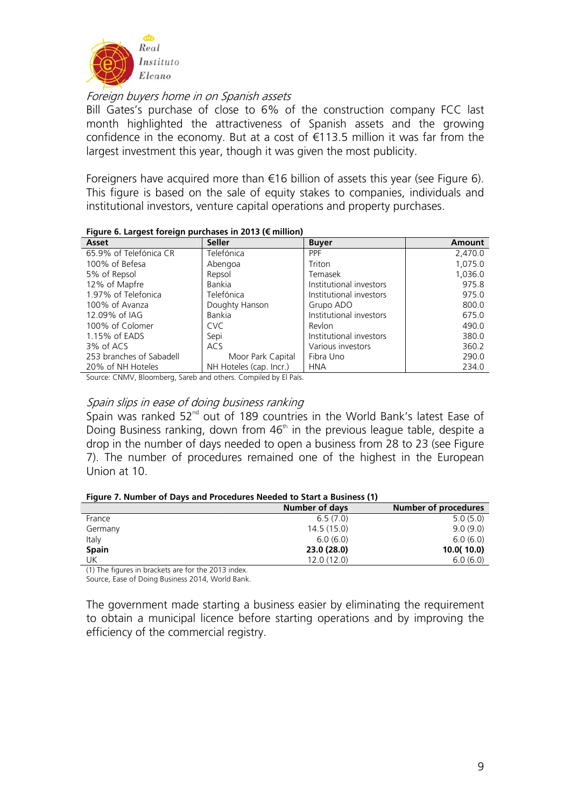

Foreign buyers home in on Spanish assets

Bill Gates's purchase of close to 6% of the construction company FCC last month highlighted the attractiveness of Spanish assets and the growing confidence in the economy. But at a cost of €113.5 million it was far from the largest investment this year, though it was given the most publicity.

Foreigners have acquired more than €16 billion of assets this year (see Figure 6). This figure is based on the sale of equity stakes to companies, individuals and institutional investors, venture capital operations and property purchases.

| rigure 6. Largest foreign purchases in 2015 (€ minion) |                         |                         |         |  |  |
|--------------------------------------------------------|-------------------------|-------------------------|---------|--|--|
| Asset                                                  | <b>Seller</b>           | <b>Buyer</b>            | Amount  |  |  |
| 65.9% of Telefónica CR                                 | Telefónica              | <b>PPF</b>              | 2,470.0 |  |  |
| 100% of Befesa                                         | Abengoa                 | Triton                  | 1,075.0 |  |  |
| 5% of Repsol                                           | Repsol                  | Temasek                 | 1,036.0 |  |  |
| 12% of Mapfre                                          | Bankia                  | Institutional investors | 975.8   |  |  |
| 1.97% of Telefonica                                    | Telefónica              | Institutional investors | 975.0   |  |  |
| 100% of Avanza                                         | Doughty Hanson          | Grupo ADO               | 800.0   |  |  |
| 12.09% of IAG                                          | Bankia                  | Institutional investors | 675.0   |  |  |
| 100% of Colomer                                        | <b>CVC</b>              | Revlon                  | 490.0   |  |  |
| 1.15% of EADS                                          | Sepi                    | Institutional investors | 380.0   |  |  |
| 3% of ACS                                              | ACS                     | Various investors       | 360.2   |  |  |
| 253 branches of Sabadell                               | Moor Park Capital       | Fibra Uno               | 290.0   |  |  |
| 20% of NH Hoteles                                      | NH Hoteles (cap. Incr.) | <b>HNA</b>              | 234.0   |  |  |

### **Figure 6. Largest foreign purchases in 2013 (€ million)**

Source: CNMV, Bloomberg, Sareb and others. Compiled by El País.

### Spain slips in ease of doing business ranking

Spain was ranked  $52<sup>nd</sup>$  out of 189 countries in the World Bank's latest Ease of Doing Business ranking, down from  $46<sup>th</sup>$  in the previous league table, despite a drop in the number of days needed to open a business from 28 to 23 (see Figure 7). The number of procedures remained one of the highest in the European Union at 10.

#### **Figure 7. Number of Days and Procedures Needed to Start a Business (1)**

|              | Number of days | Number of procedures |
|--------------|----------------|----------------------|
| France       | 6.5(7.0)       | 5.0(5.0)             |
| Germany      | 14.5(15.0)     | 9.0(9.0)             |
| Italy        | 6.0(6.0)       | 6.0(6.0)             |
| <b>Spain</b> | 23.0 (28.0)    | 10.0(10.0)           |
| UK           | 12.0(12.0)     | 6.0(6.0)             |

(1) The figures in brackets are for the 2013 index.

Source, Ease of Doing Business 2014, World Bank.

The government made starting a business easier by eliminating the requirement to obtain a municipal licence before starting operations and by improving the efficiency of the commercial registry.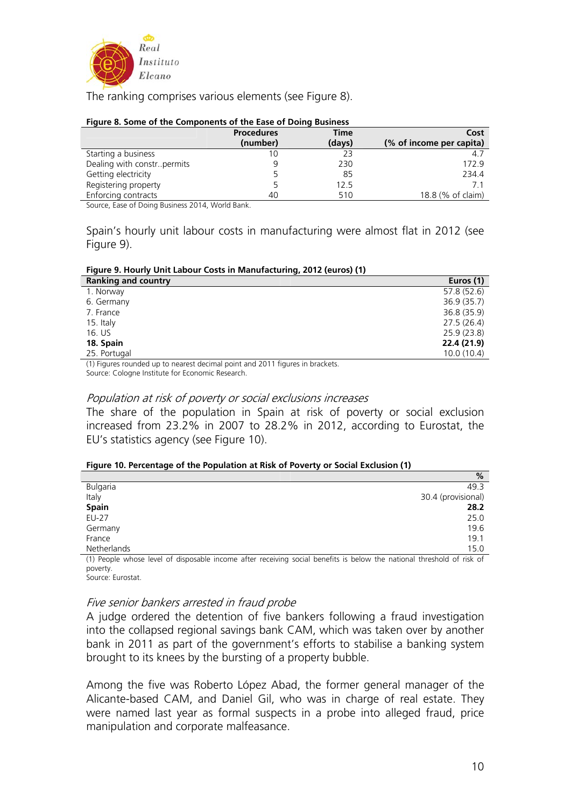

The ranking comprises various elements (see Figure 8).

#### **Figure 8. Some of the Components of the Ease of Doing Business**

|                              | <b>Procedures</b> | <b>Time</b> | Cost                     |
|------------------------------|-------------------|-------------|--------------------------|
|                              | (number)          | (days)      | (% of income per capita) |
| Starting a business          |                   | 23          | 4.7                      |
| Dealing with constr. permits |                   | 230         | 172.9                    |
| Getting electricity          |                   | 85          | 234.4                    |
| Registering property         |                   | 12.5        |                          |
| Enforcing contracts          | 40                | 510         | 18.8 (% of claim)        |
|                              | _ _ _ .           |             |                          |

Source, Ease of Doing Business 2014, World Bank.

Spain's hourly unit labour costs in manufacturing were almost flat in 2012 (see Figure 9).

### **Figure 9. Hourly Unit Labour Costs in Manufacturing, 2012 (euros) (1)**

| <b>Ranking and country</b> | Euros (1)   |
|----------------------------|-------------|
| 1. Norway                  | 57.8 (52.6) |
| 6. Germany                 | 36.9(35.7)  |
| 7. France                  | 36.8 (35.9) |
| 15. Italy                  | 27.5(26.4)  |
| 16. US                     | 25.9(23.8)  |
| 18. Spain                  | 22.4 (21.9) |
| 25. Portugal               | 10.0(10.4)  |

(1) Figures rounded up to nearest decimal point and 2011 figures in brackets. Source: Cologne Institute for Economic Research.

## Population at risk of poverty or social exclusions increases

The share of the population in Spain at risk of poverty or social exclusion increased from 23.2% in 2007 to 28.2% in 2012, according to Eurostat, the EU's statistics agency (see Figure 10).

#### **Figure 10. Percentage of the Population at Risk of Poverty or Social Exclusion (1)**

|                                                                                                                        | %                  |
|------------------------------------------------------------------------------------------------------------------------|--------------------|
| <b>Bulgaria</b>                                                                                                        | 49.3               |
| Italy                                                                                                                  | 30.4 (provisional) |
| <b>Spain</b>                                                                                                           | 28.2               |
| EU-27                                                                                                                  | 25.0               |
| Germany                                                                                                                | 19.6               |
| France                                                                                                                 | 19.1               |
| Netherlands                                                                                                            | 15.0               |
| (1) Poople whose level of disposable income after receiving social bonofits is below the patienal threshold of risk of |                    |

(1) People whose level of disposable income after receiving social benefits is below the national threshold of risk of poverty. Source: Eurostat.

### Five senior bankers arrested in fraud probe

A judge ordered the detention of five bankers following a fraud investigation into the collapsed regional savings bank CAM, which was taken over by another bank in 2011 as part of the government's efforts to stabilise a banking system brought to its knees by the bursting of a property bubble.

Among the five was Roberto López Abad, the former general manager of the Alicante-based CAM, and Daniel Gil, who was in charge of real estate. They were named last year as formal suspects in a probe into alleged fraud, price manipulation and corporate malfeasance.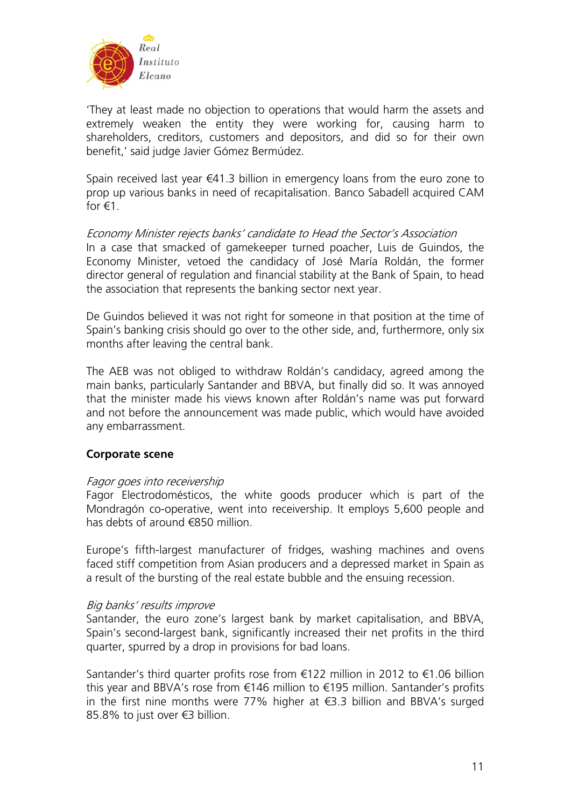

'They at least made no objection to operations that would harm the assets and extremely weaken the entity they were working for, causing harm to shareholders, creditors, customers and depositors, and did so for their own benefit,' said judge Javier Gómez Bermúdez.

Spain received last year €41.3 billion in emergency loans from the euro zone to prop up various banks in need of recapitalisation. Banco Sabadell acquired CAM for  $f(1)$ .

Economy Minister rejects banks' candidate to Head the Sector's Association

In a case that smacked of gamekeeper turned poacher, Luis de Guindos, the Economy Minister, vetoed the candidacy of José María Roldán, the former director general of regulation and financial stability at the Bank of Spain, to head the association that represents the banking sector next year.

De Guindos believed it was not right for someone in that position at the time of Spain's banking crisis should go over to the other side, and, furthermore, only six months after leaving the central bank.

The AEB was not obliged to withdraw Roldán's candidacy, agreed among the main banks, particularly Santander and BBVA, but finally did so. It was annoyed that the minister made his views known after Roldán's name was put forward and not before the announcement was made public, which would have avoided any embarrassment.

## **Corporate scene**

## Fagor goes into receivership

Fagor Electrodomésticos, the white goods producer which is part of the Mondragón co-operative, went into receivership. It employs 5,600 people and has debts of around €850 million.

Europe's fifth-largest manufacturer of fridges, washing machines and ovens faced stiff competition from Asian producers and a depressed market in Spain as a result of the bursting of the real estate bubble and the ensuing recession.

### Big banks' results improve

Santander, the euro zone's largest bank by market capitalisation, and BBVA, Spain's second-largest bank, significantly increased their net profits in the third quarter, spurred by a drop in provisions for bad loans.

Santander's third quarter profits rose from €122 million in 2012 to €1.06 billion this year and BBVA's rose from €146 million to €195 million. Santander's profits in the first nine months were 77% higher at €3.3 billion and BBVA's surged 85.8% to just over €3 billion.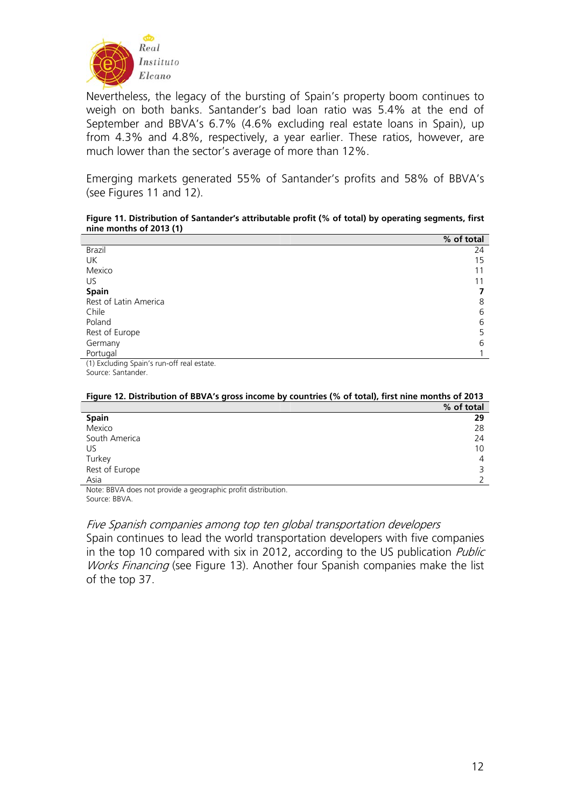

Nevertheless, the legacy of the bursting of Spain's property boom continues to weigh on both banks. Santander's bad loan ratio was 5.4% at the end of September and BBVA's 6.7% (4.6% excluding real estate loans in Spain), up from 4.3% and 4.8%, respectively, a year earlier. These ratios, however, are much lower than the sector's average of more than 12%.

Emerging markets generated 55% of Santander's profits and 58% of BBVA's (see Figures 11 and 12).

#### **Figure 11. Distribution of Santander's attributable profit (% of total) by operating segments, first nine months of 2013 (1)**

|                                            | % of total |
|--------------------------------------------|------------|
| Brazil                                     | 24         |
| UK                                         | 15         |
| Mexico                                     | 11         |
| US.                                        | 11         |
| <b>Spain</b>                               |            |
| Rest of Latin America                      | 8          |
| Chile                                      | 6          |
| Poland                                     | 6          |
| Rest of Europe                             | 5          |
| Germany                                    | 6          |
| Portugal                                   |            |
| (1) Excluding Spain's run-off real estate. |            |

Source: Santander.

| change is. Distribution of boyn 3 gross income by countries (70 or total), mot mile months or zo is |            |  |
|-----------------------------------------------------------------------------------------------------|------------|--|
|                                                                                                     | % of total |  |
| <b>Spain</b>                                                                                        | 29         |  |
| Mexico                                                                                              | 28         |  |
| South America                                                                                       | 24         |  |
| US                                                                                                  | 10         |  |
| Turkey                                                                                              | 4          |  |
| Rest of Europe                                                                                      |            |  |
| Asia                                                                                                |            |  |

#### **Figure 12. Distribution of BBVA's gross income by countries (% of total), first nine months of 2013**

Note: BBVA does not provide a geographic profit distribution. Source: BBVA.

Five Spanish companies among top ten global transportation developers Spain continues to lead the world transportation developers with five companies in the top 10 compared with six in 2012, according to the US publication *Public* Works Financing (see Figure 13). Another four Spanish companies make the list

of the top 37.